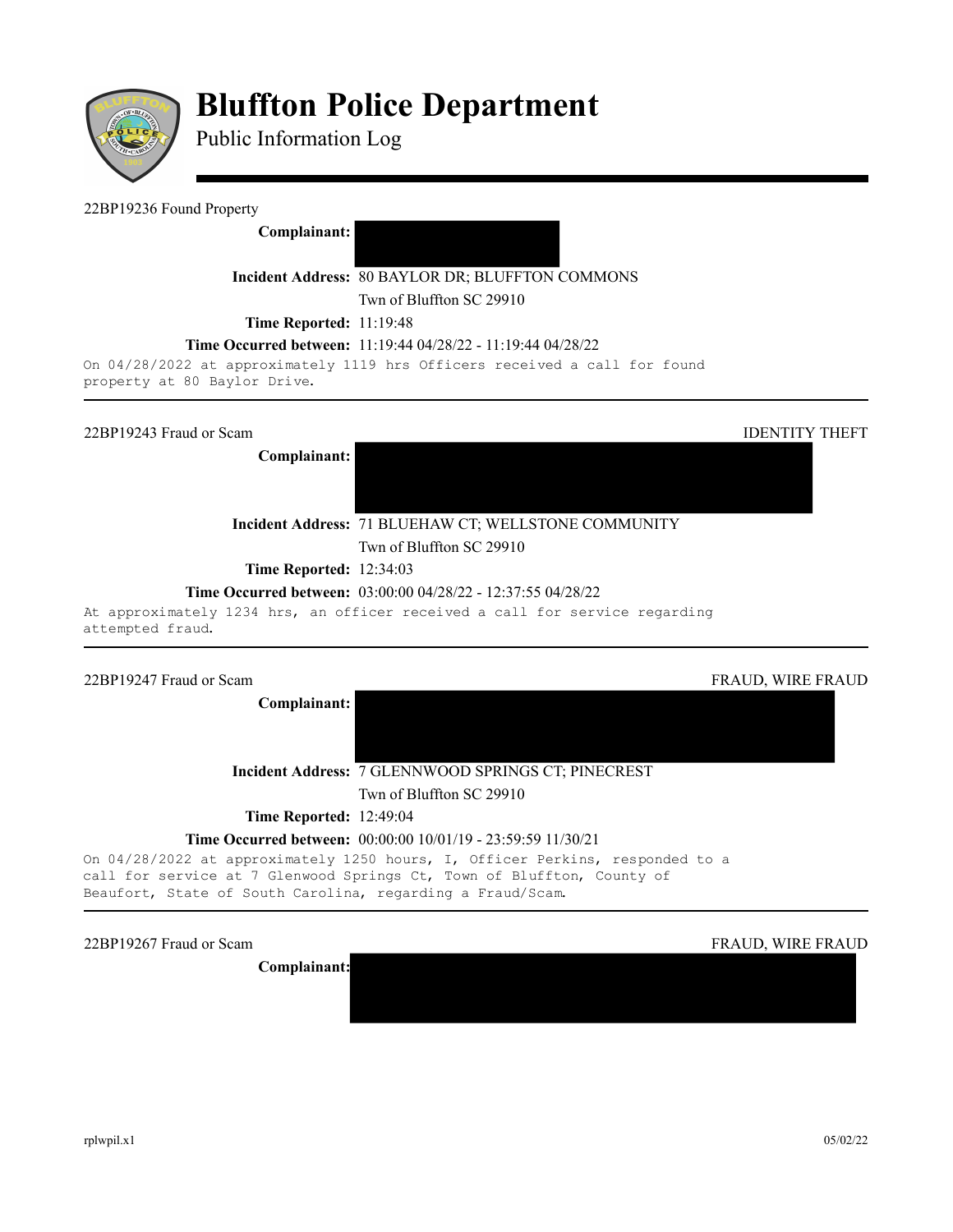

# **Bluffton Police Department**

Public Information Log

# 22BP19236 Found Property

**Complainant:** 

**Incident Address:** 80 BAYLOR DR; BLUFFTON COMMONS

Twn of Bluffton SC 29910

**Time Reported:** 11:19:48

# **Time Occurred between:** 11:19:44 04/28/22 - 11:19:44 04/28/22

On 04/28/2022 at approximately 1119 hrs Officers received a call for found property at 80 Baylor Drive.

22BP19243 Fraud or Scam **IDENTITY** THEFT

**Complainant:** 

**Incident Address:** 71 BLUEHAW CT; WELLSTONE COMMUNITY Twn of Bluffton SC 29910

**Time Reported:** 12:34:03

# **Time Occurred between:** 03:00:00 04/28/22 - 12:37:55 04/28/22

At approximately 1234 hrs, an officer received a call for service regarding attempted fraud.

# 22BP19247 Fraud or Scam FRAUD, WIRE FRAUD, WIRE FRAUD, WIRE FRAUD, WIRE FRAUD, WIRE FRAUD, WIRE FRAUD, WIRE FRAUD

**Complainant:** 

**Incident Address:** 7 GLENNWOOD SPRINGS CT; PINECREST

Twn of Bluffton SC 29910

**Time Reported:** 12:49:04

# **Time Occurred between:** 00:00:00 10/01/19 - 23:59:59 11/30/21

On 04/28/2022 at approximately 1250 hours, I, Officer Perkins, responded to a call for service at 7 Glenwood Springs Ct, Town of Bluffton, County of Beaufort, State of South Carolina, regarding a Fraud/Scam.